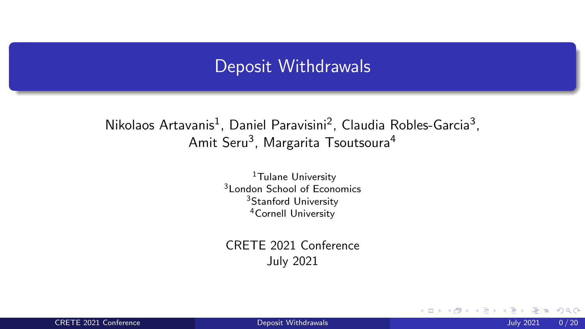## Deposit Withdrawals

### <span id="page-0-1"></span><span id="page-0-0"></span>Nikolaos Artavanis<sup>1</sup>, Daniel Paravisini<sup>2</sup>, Claudia Robles-Garcia<sup>3</sup>, Amit Seru<sup>3</sup>, Margarita Tsoutsoura<sup>4</sup>

<sup>1</sup>Tulane University 3London School of Economics <sup>3</sup>Stanford University 4Cornell University

CRETE 2021 Conference July 2021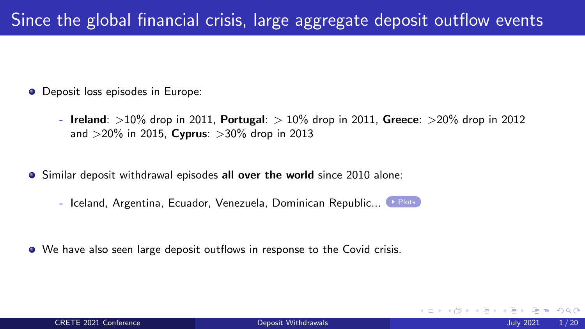- **O** Deposit loss episodes in Europe:
	- Ireland: *>*10% drop in 2011, Portugal: *>* 10% drop in 2011, Greece: *>*20% drop in 2012 and *>*20% in 2015, Cyprus: *>*30% drop in 2013
- Similar deposit withdrawal episodes all over the world since 2010 alone:
	- Iceland, Argentina, Ecuador, Venezuela, Dominican Republic... [Plots](#page-0-0)
- We have also seen large deposit outflows in response to the Covid crisis.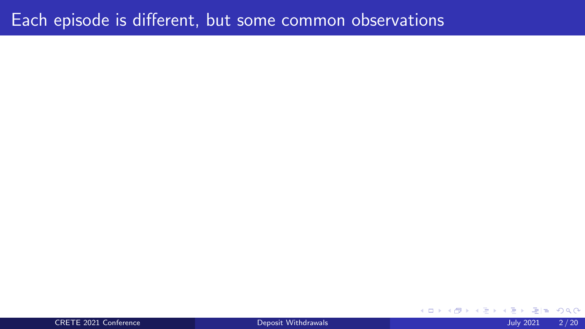## Each episode is different, but some common observations

CRETE 2021 Conference [Deposit Withdrawals](#page-0-1) July 2021 2 / 20

 $\equiv$ 

4 0 F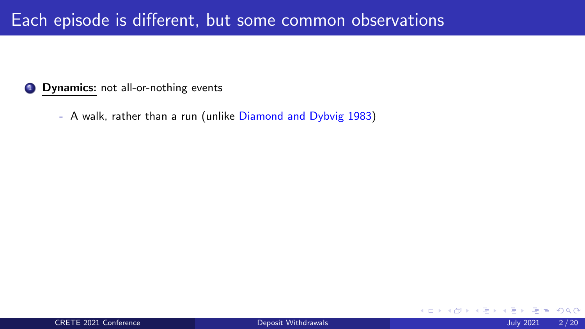### **1** Dynamics: not all-or-nothing events

- A walk, rather than a run (unlike Diamond and Dybvig 1983)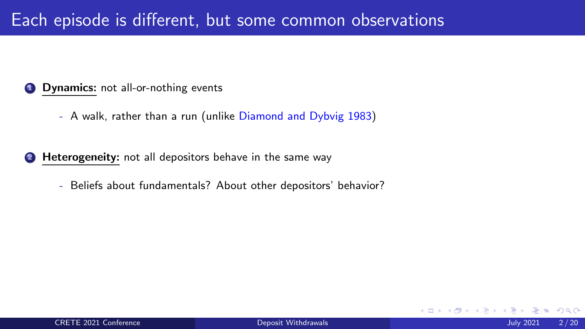### **1** Dynamics: not all-or-nothing events

- A walk, rather than a run (unlike Diamond and Dybvig 1983)
- **2 Heterogeneity:** not all depositors behave in the same way
	- Beliefs about fundamentals? About other depositors' behavior?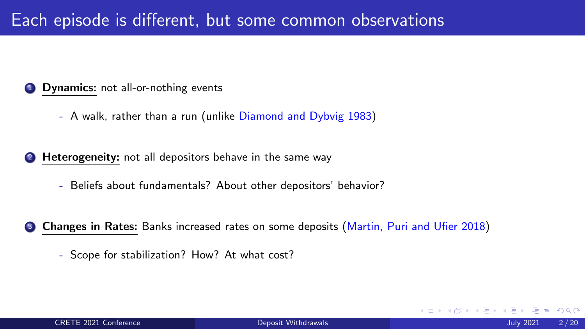### **1** Dynamics: not all-or-nothing events

- A walk, rather than a run (unlike Diamond and Dybvig 1983)
- **2** Heterogeneity: not all depositors behave in the same way
	- Beliefs about fundamentals? About other depositors' behavior?
- **3 Changes in Rates:** Banks increased rates on some deposits (Martin, Puri and Ufier 2018)
	- Scope for stabilization? How? At what cost?

 $\Omega$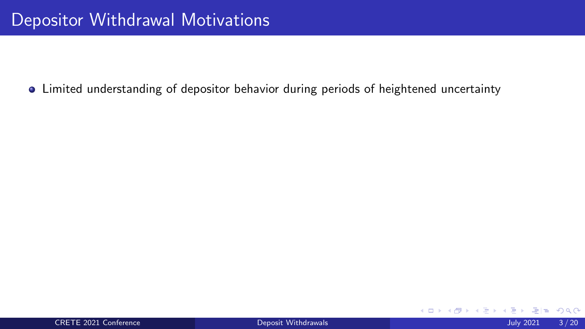4 0 F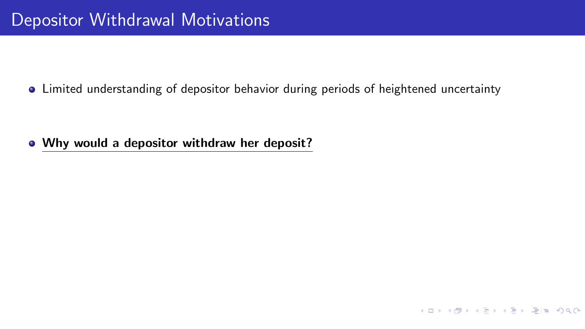• Why would a depositor withdraw her deposit?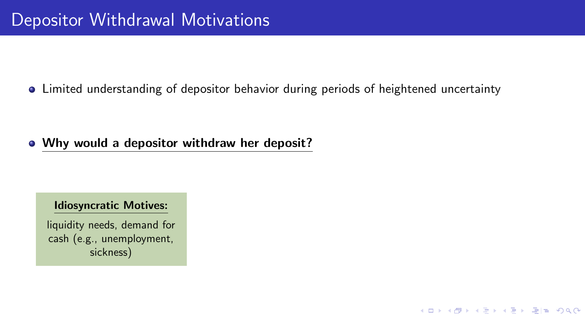### • Why would a depositor withdraw her deposit?

### Idiosyncratic Motives:

liquidity needs, demand for cash (e.g., unemployment, sickness)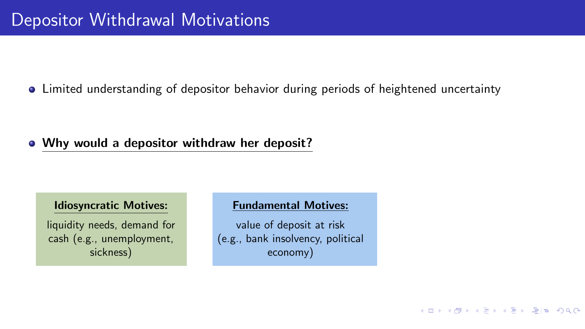### • Why would a depositor withdraw her deposit?

### Idiosyncratic Motives:

liquidity needs, demand for cash (e.g., unemployment, sickness)

### Fundamental Motives:

value of deposit at risk (e.g., bank insolvency, political economy)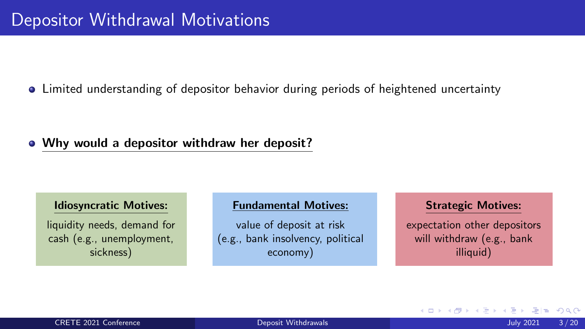### • Why would a depositor withdraw her deposit?

### Idiosyncratic Motives:

liquidity needs, demand for cash (e.g., unemployment, sickness)

### Fundamental Motives:

value of deposit at risk (e.g., bank insolvency, political economy)

#### Strategic Motives:

expectation other depositors will withdraw (e.g., bank illiquid)

イロト イ押 トイヨト イヨ

|星|≡ めんぴ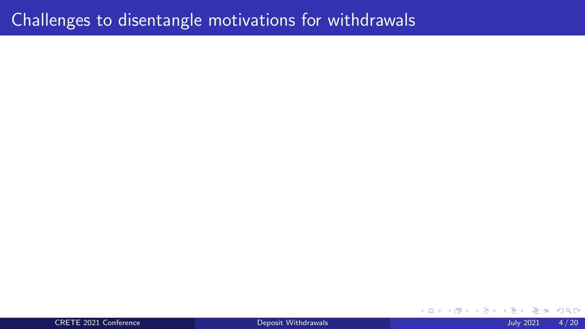CRETE 2021 Conference [Deposit Withdrawals](#page-0-1) July 2021 4 / 20

4 0 8  $299$ ∢母  $\equiv$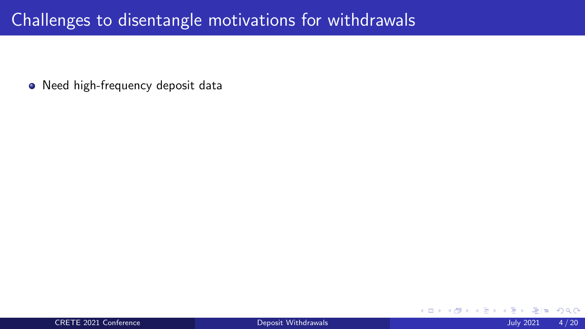Need high-frequency deposit data

4 **D F**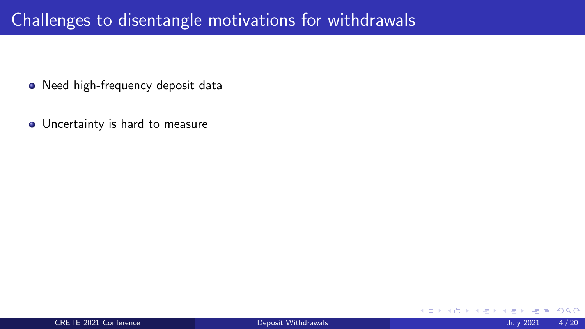- Need high-frequency deposit data
- **•** Uncertainty is hard to measure

 $\leftarrow$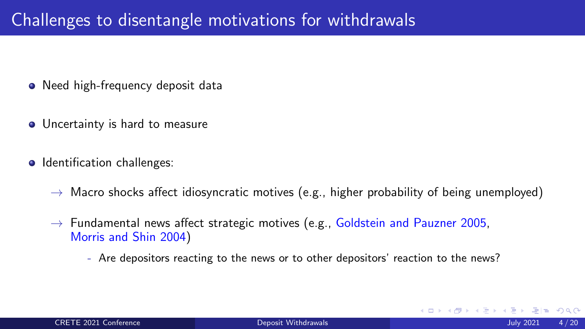- Need high-frequency deposit data
- Uncertainty is hard to measure
- Identification challenges:
	- $\rightarrow$  Macro shocks affect idiosyncratic motives (e.g., higher probability of being unemployed)
	- $\rightarrow$  Fundamental news affect strategic motives (e.g., Goldstein and Pauzner 2005, Morris and Shin 2004)
		- Are depositors reacting to the news or to other depositors' reaction to the news?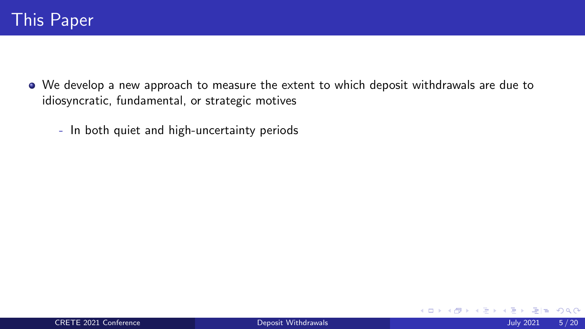- We develop a new approach to measure the extent to which deposit withdrawals are due to idiosyncratic, fundamental, or strategic motives
	- In both quiet and high-uncertainty periods

4 0 F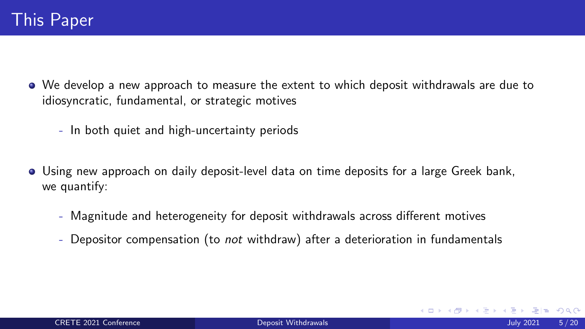- We develop a new approach to measure the extent to which deposit withdrawals are due to idiosyncratic, fundamental, or strategic motives
	- In both quiet and high-uncertainty periods
- Using new approach on daily deposit-level data on time deposits for a large Greek bank, we quantify:
	- Magnitude and heterogeneity for deposit withdrawals across different motives
	- Depositor compensation (to *not* withdraw) after a deterioration in fundamentals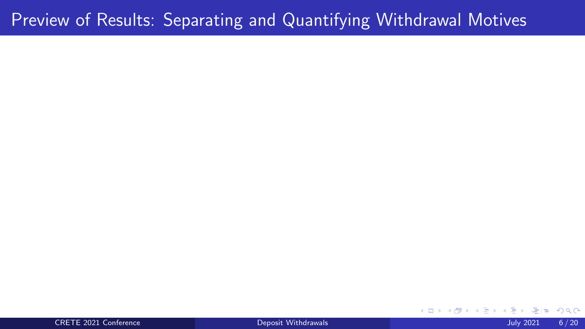#### CRETE 2021 Conference [Deposit Withdrawals](#page-0-1) July 2021 6 / 20

#### $298$  $\leftarrow$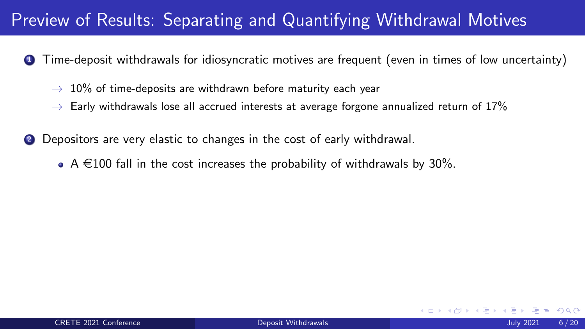- Time-deposit withdrawals for idiosyncratic motives are frequent (even in times of low uncertainty)
	- $\rightarrow$  10% of time-deposits are withdrawn before maturity each year
	- $\rightarrow$  Early withdrawals lose all accrued interests at average forgone annualized return of 17%
- 2 Depositors are very elastic to changes in the cost of early withdrawal.
	- A  $\in$ 100 fall in the cost increases the probability of withdrawals by 30%.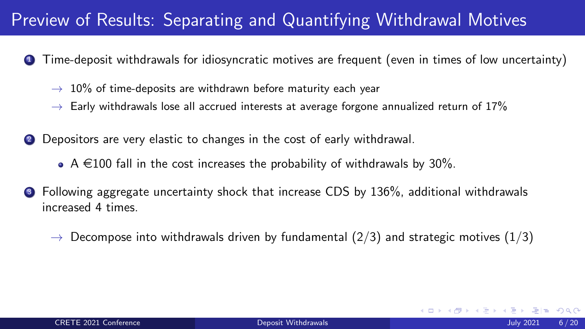- <sup>1</sup> Time-deposit withdrawals for idiosyncratic motives are frequent (even in times of low uncertainty)
	- $\rightarrow$  10% of time-deposits are withdrawn before maturity each year
	- $\rightarrow$  Early withdrawals lose all accrued interests at average forgone annualized return of 17%
- 2 Depositors are very elastic to changes in the cost of early withdrawal.
	- A  $\in$ 100 fall in the cost increases the probability of withdrawals by 30%.
- <sup>3</sup> Following aggregate uncertainty shock that increase CDS by 136%, additional withdrawals increased 4 times.
	- $\rightarrow$  Decompose into withdrawals driven by fundamental (2/3) and strategic motives (1/3)

 $\Omega$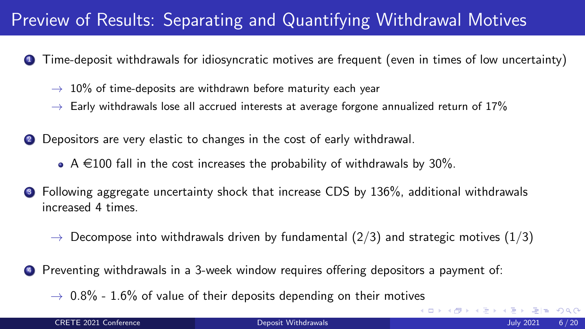- <sup>1</sup> Time-deposit withdrawals for idiosyncratic motives are frequent (even in times of low uncertainty)
	- $\rightarrow$  10% of time-deposits are withdrawn before maturity each year
	- $\rightarrow$  Early withdrawals lose all accrued interests at average forgone annualized return of 17%
- 2 Depositors are very elastic to changes in the cost of early withdrawal.
	- A  $\in$ 100 fall in the cost increases the probability of withdrawals by 30%.
- <sup>3</sup> Following aggregate uncertainty shock that increase CDS by 136%, additional withdrawals increased 4 times.
	- $\rightarrow$  Decompose into withdrawals driven by fundamental (2/3) and strategic motives (1/3)
- Preventing withdrawals in a 3-week window requires offering depositors a payment of:
	- $\rightarrow$  0.8% 1.6% of value of their deposits depending on their motives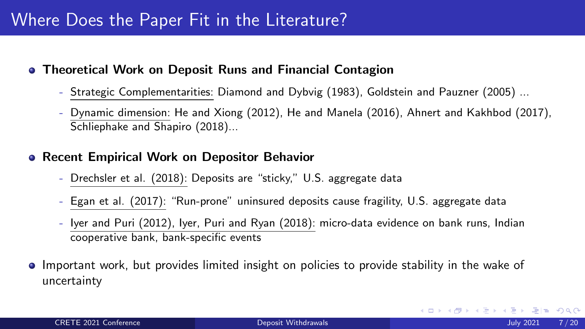# Where Does the Paper Fit in the Literature?

- Theoretical Work on Deposit Runs and Financial Contagion
	- Strategic Complementarities: Diamond and Dybvig (1983), Goldstein and Pauzner (2005) ...
	- Dynamic dimension: He and Xiong (2012), He and Manela (2016), Ahnert and Kakhbod (2017), Schliephake and Shapiro (2018)...

### **• Recent Empirical Work on Depositor Behavior**

- Drechsler et al. (2018): Deposits are "sticky," U.S. aggregate data
- Egan et al. (2017): "Run-prone" uninsured deposits cause fragility, U.S. aggregate data
- Iyer and Puri (2012), Iyer, Puri and Ryan (2018): micro-data evidence on bank runs, Indian cooperative bank, bank-specific events
- Important work, but provides limited insight on policies to provide stability in the wake of uncertainty

KAD → KE → KE → EHE YOU →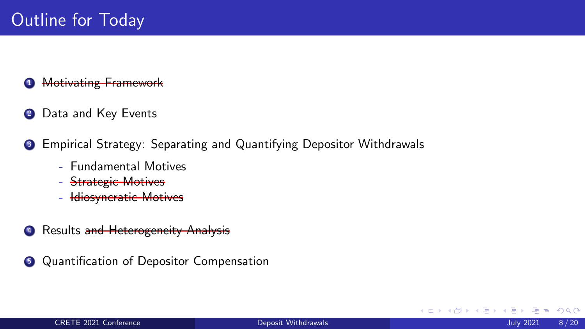### **4 Motivating Framework**

- 2 Data and Key Events
- <sup>3</sup> Empirical Strategy: Separating and Quantifying Depositor Withdrawals
	- Fundamental Motives
	- Strategic Motives
	- Idiosyncratic Motives
- 4 Results and Heterogeneity Analysis
- **5** Quantification of Depositor Compensation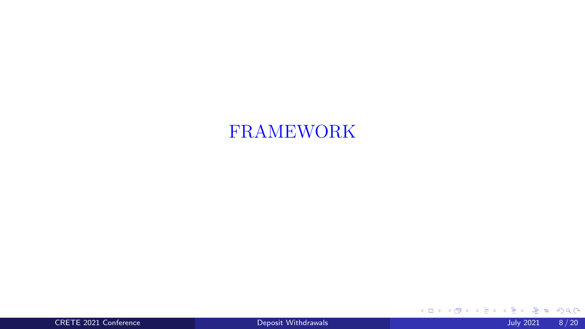# FRAMEWORK

CRETE 2021 Conference [Deposit Withdrawals](#page-0-1) July 2021 8 / 20

イロト イ押 トイ君 トイ君 ト

重目 のへぐ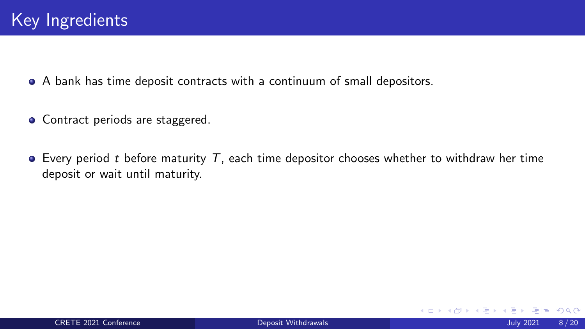A bank has time deposit contracts with a continuum of small depositors.

- Contract periods are staggered.
- Every period *t* before maturity *T*, each time depositor chooses whether to withdraw her time deposit or wait until maturity.

 $\Omega$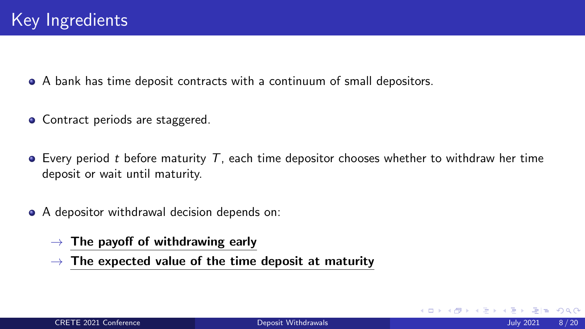A bank has time deposit contracts with a continuum of small depositors.

- Contract periods are staggered.
- Every period *t* before maturity *T*, each time depositor chooses whether to withdraw her time deposit or wait until maturity.
- A depositor withdrawal decision depends on:
	- $\rightarrow$  The payoff of withdrawing early
	- $\rightarrow$  The expected value of the time deposit at maturity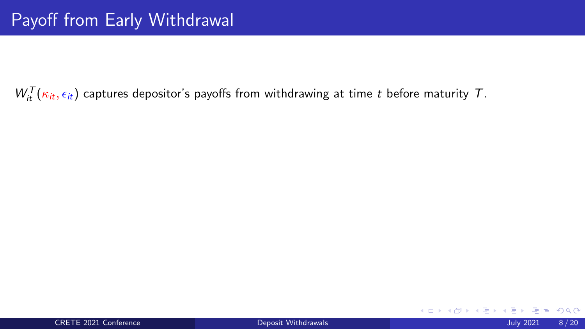$W_{it}^{T}(\kappa_{it}, \epsilon_{it})$  captures depositor's payoffs from withdrawing at time *t* before maturity *T*.

4 0 F

- 4 円 ▶ - 4 三 ▶ - 4 .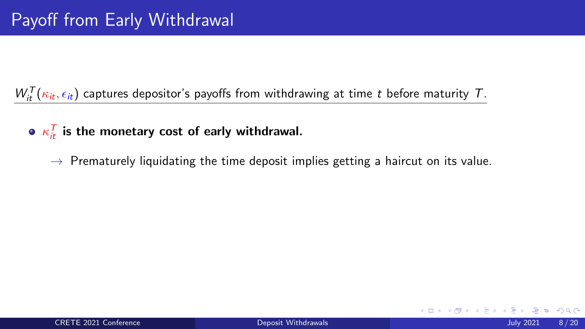$W_{it}^{T}(\kappa_{it}, \epsilon_{it})$  captures depositor's payoffs from withdrawing at time *t* before maturity *T*.

- $\kappa_{it}^{\mathcal T}$  is the monetary cost of early withdrawal.
	- $\rightarrow$  Prematurely liquidating the time deposit implies getting a haircut on its value.

 $QQ$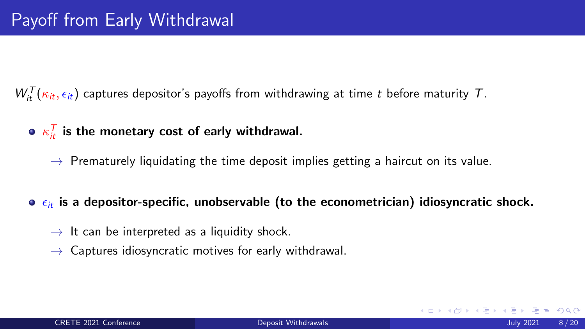$W_{it}^{T}(\kappa_{it}, \epsilon_{it})$  captures depositor's payoffs from withdrawing at time *t* before maturity *T*.

- $\kappa_{it}^{\mathcal T}$  is the monetary cost of early withdrawal.
	- $\rightarrow$  Prematurely liquidating the time deposit implies getting a haircut on its value.

### $\bullet$   $\epsilon_{it}$  is a depositor-specific, unobservable (to the econometrician) idiosyncratic shock.

- $\rightarrow$  It can be interpreted as a liquidity shock.
- $\rightarrow$  Captures idiosyncratic motives for early withdrawal.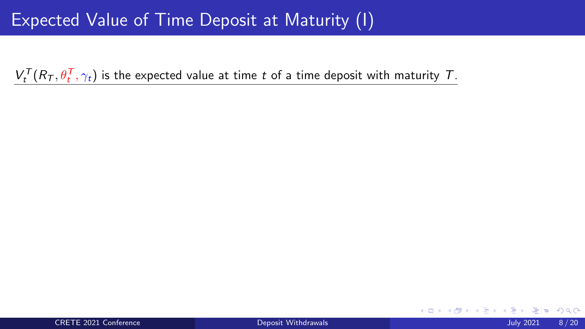4 0 F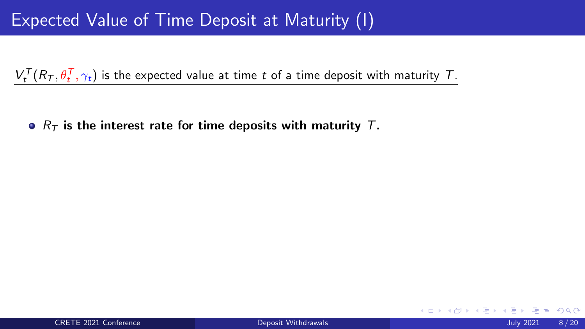•  $R<sub>T</sub>$  is the interest rate for time deposits with maturity *T*.

 $\Omega$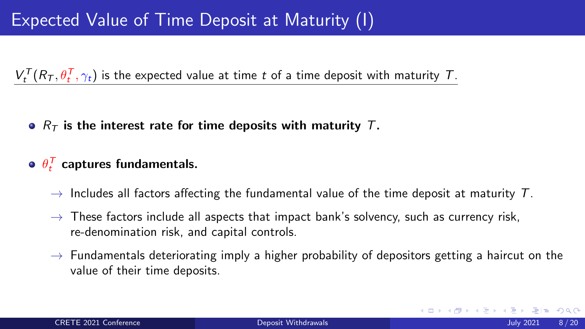*R<sup>T</sup>* is the interest rate for time deposits with maturity *T*.

# $\theta_t^{\mathcal T}$  captures fundamentals.

- $\rightarrow$  Includes all factors affecting the fundamental value of the time deposit at maturity *T*.
- $\rightarrow$  These factors include all aspects that impact bank's solvency, such as currency risk, re-denomination risk, and capital controls.
- $\rightarrow$  Fundamentals deteriorating imply a higher probability of depositors getting a haircut on the value of their time deposits.

 $E|E \cap Q$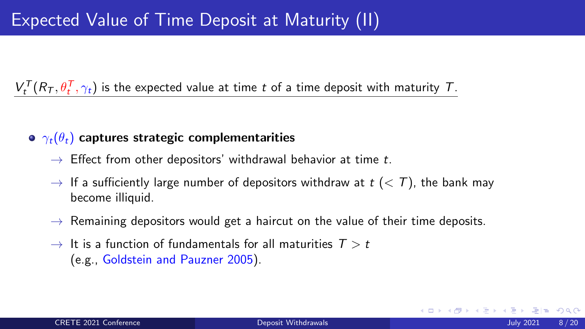### $\bullet \gamma_t(\theta_t)$  captures strategic complementarities

- $\rightarrow$  Effect from other depositors' withdrawal behavior at time *t*.
- $\rightarrow$  If a sufficiently large number of depositors withdraw at  $t \leq T$ ), the bank may become illiquid.
- $\rightarrow$  Remaining depositors would get a haircut on the value of their time deposits.
- $\rightarrow$  It is a function of fundamentals for all maturities  $T > t$ (e.g., Goldstein and Pauzner 2005).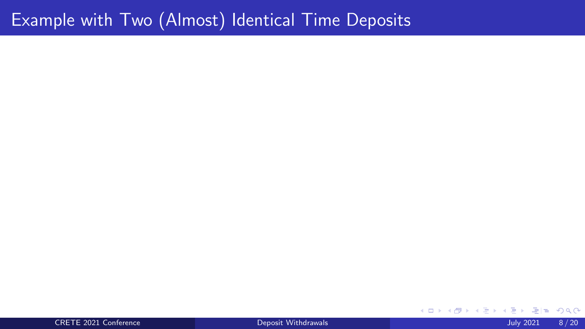# Example with Two (Almost) Identical Time Deposits

CRETE 2021 Conference [Deposit Withdrawals](#page-0-1) July 2021 8 / 20

4 ロ ▶ 4 伊 격대  $299$ → < 3  $\blacktriangleright$   $\blacktriangleleft$ э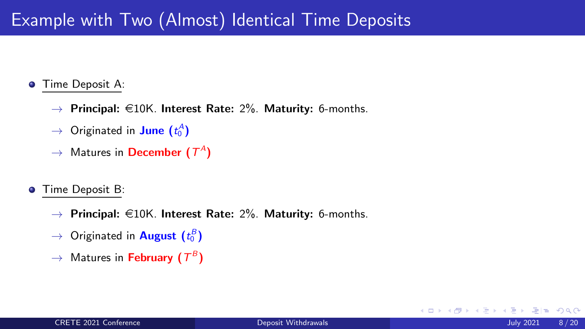# Example with Two (Almost) Identical Time Deposits

#### Time Deposit A:  $\bullet$

- $\rightarrow$  Principal:  $\in$ 10K. Interest Rate: 2%. Maturity: 6-months.
- $\rightarrow$  Originated in **June (** $t_0^A$ )
- $\rightarrow$  Matures in **December (** $T^A$ )
- Time Deposit B:  $\bullet$ 
	- $\rightarrow$  Principal:  $\in$ 10K. Interest Rate: 2%. Maturity: 6-months.
	- $\rightarrow$  Originated in **August**  $(t_0^B)$
	- $\rightarrow$  Matures in February ( $T^B$ )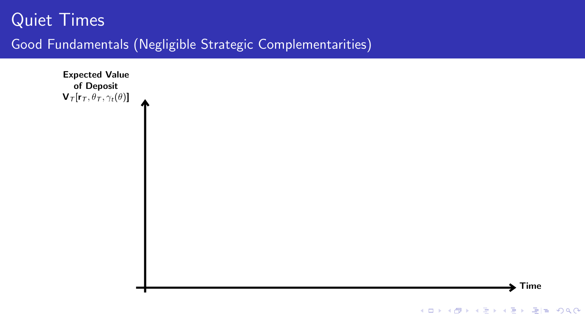# Quiet Times

### Good Fundamentals (Negligible Strategic Complementarities)

Expected Value of Deposit  $V_{\mathcal{T}}[r_{\mathcal{T}}, \theta_{\mathcal{T}}, \gamma_t(\theta)]$ 

K ロ ▶ K 個 ▶ K 로 ▶ K 로 ▶ 그리도 YO Q @

 $\blacktriangleright$  Time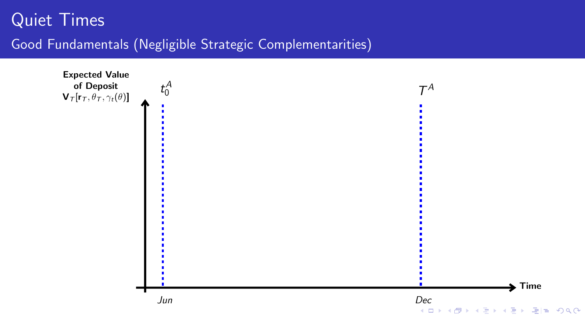<span id="page-36-0"></span>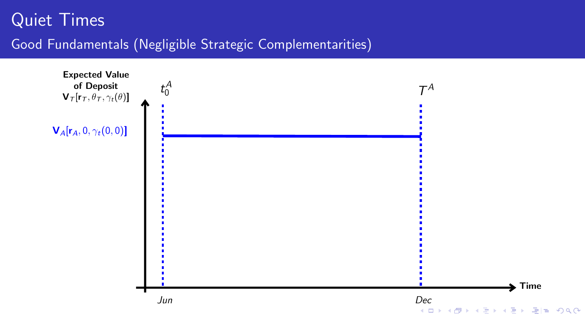<span id="page-37-0"></span>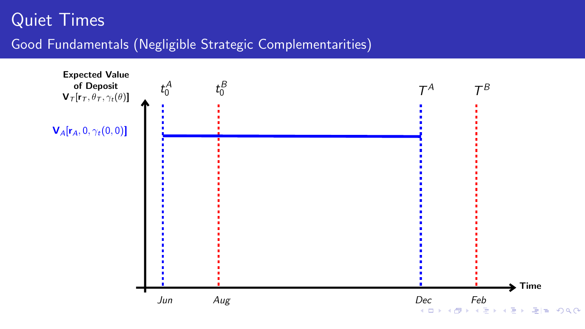<span id="page-38-0"></span>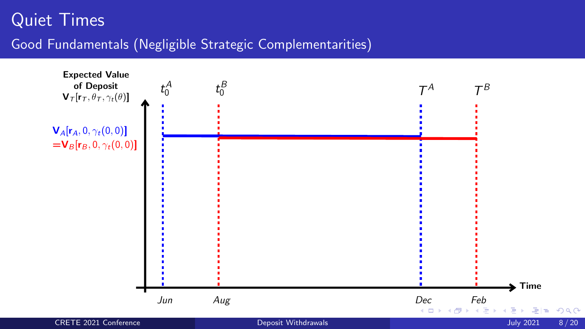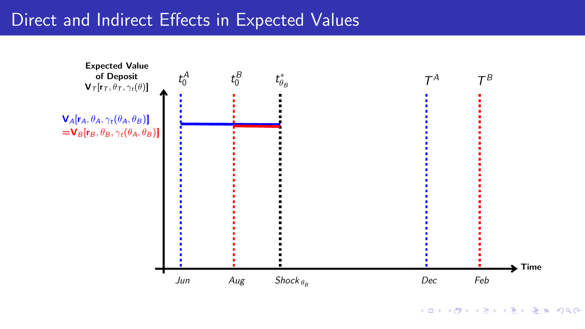<span id="page-40-0"></span>

K ロ ▶ K 個 ▶ K 로 ▶ K 로 ▶ 그리도 YO Q @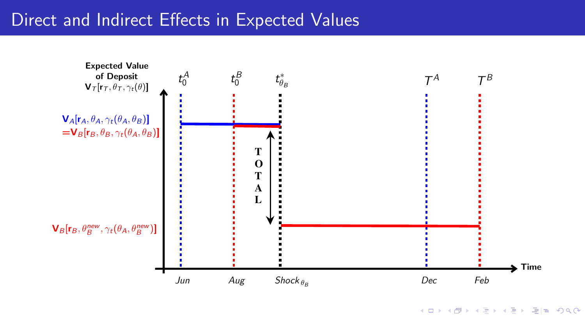

K ロ > K 個 > K ヨ > K ヨ > (ヨ = K) 9,00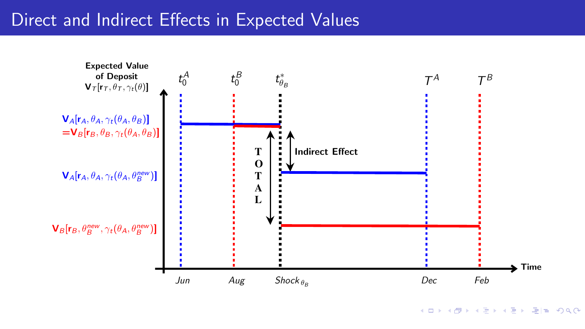

K ロ > K 個 > K ヨ > K ヨ > (ヨ = K) 9,00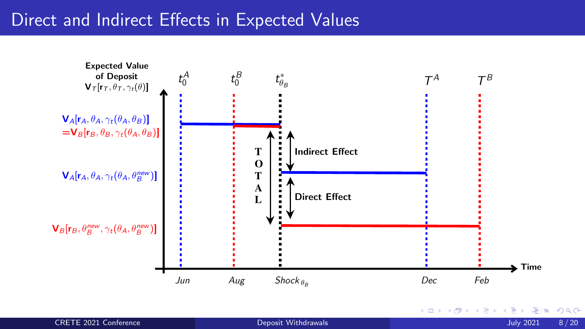

 $2990$ 

重

п.

←□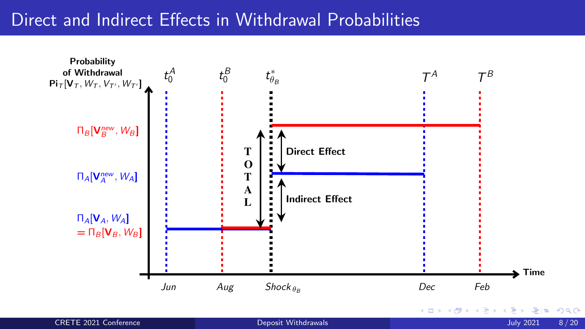#### Direct and Indirect Effects in Withdrawal Probabilities



| <b>CRETE 2021 Conference</b> |  |
|------------------------------|--|
|------------------------------|--|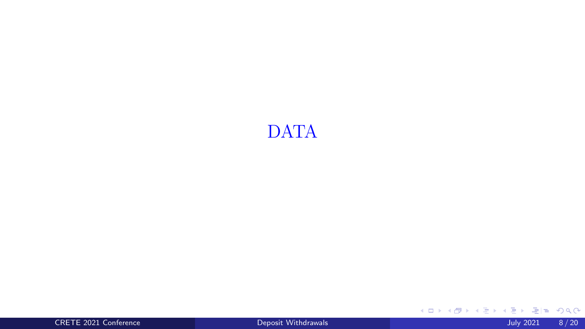# DATA

CRETE 2021 Conference [Deposit Withdrawals](#page-0-0) July 2021 8 / 20

K ロ > K 御 > K 君 > K 君 > [君]# 1990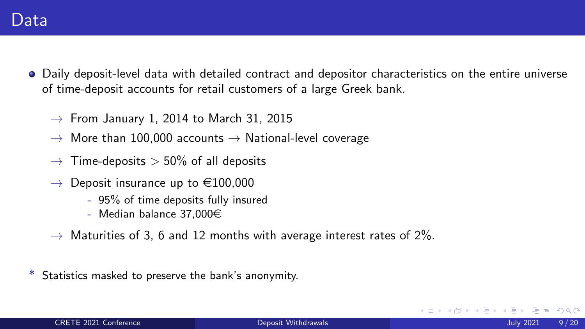- Daily deposit-level data with detailed contract and depositor characteristics on the entire universe of time-deposit accounts for retail customers of a large Greek bank.
	- $\rightarrow$  From January 1, 2014 to March 31, 2015
	- $\rightarrow$  More than 100,000 accounts  $\rightarrow$  National-level coverage
	- $\rightarrow$  Time-deposits  $>$  50% of all deposits
	- $\rightarrow$  Deposit insurance up to  $\in$ 100,000
		- 95% of time deposits fully insured
		- Median balance 37.000 $\in$
	- $\rightarrow$  Maturities of 3, 6 and 12 months with average interest rates of 2%.
- Statistics masked to preserve the bank's anonymity.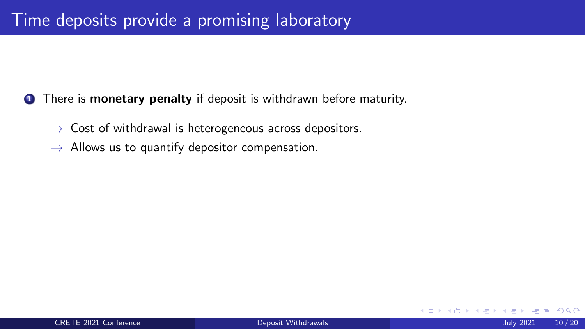- **1** There is **monetary penalty** if deposit is withdrawn before maturity.
	- $\rightarrow$  Cost of withdrawal is heterogeneous across depositors.
	- $\rightarrow$  Allows us to quantify depositor compensation.

 $Q \cap$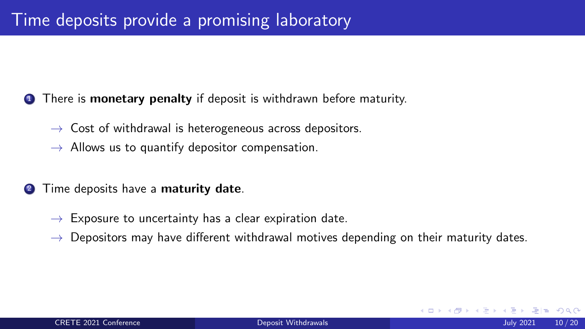- **1** There is **monetary penalty** if deposit is withdrawn before maturity.
	- $\rightarrow$  Cost of withdrawal is heterogeneous across depositors.
	- $\rightarrow$  Allows us to quantify depositor compensation.
- **2** Time deposits have a **maturity date**.
	- $\rightarrow$  Exposure to uncertainty has a clear expiration date.
	- $\rightarrow$  Depositors may have different withdrawal motives depending on their maturity dates.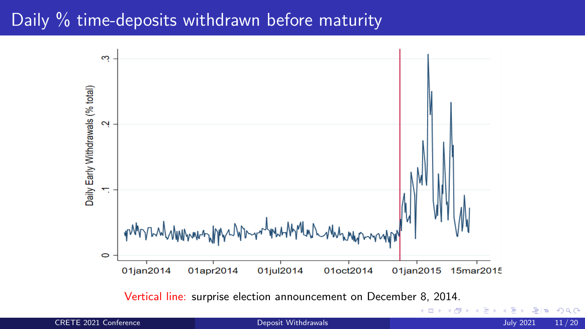#### Daily % time-deposits withdrawn before maturity



 $\equiv$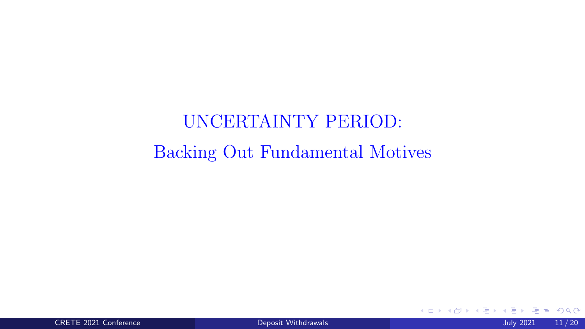# UNCERTAINTY PERIOD: Backing Out Fundamental Motives

 $299$ 

B

-4 B

 $\leftarrow$  $\rightarrow$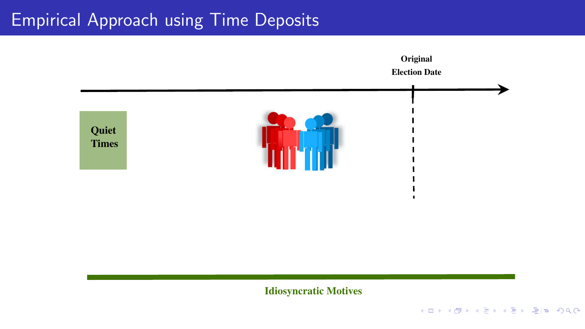

Idiosyncratic Motives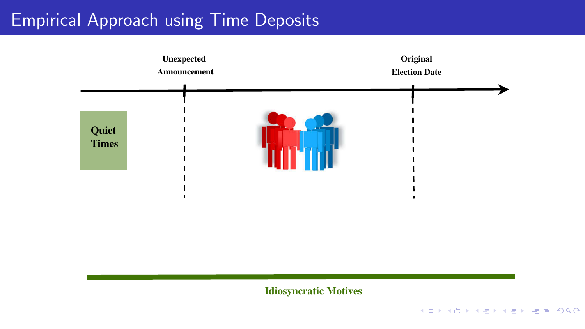

Idiosyncratic Motives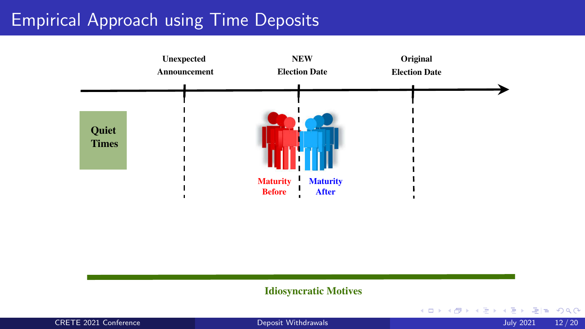

#### Idiosyncratic Motives

| <b>CRETE 2021 Conference</b> |  |
|------------------------------|--|
|------------------------------|--|

CRETE 2021 Conference [Deposit Withdrawals](#page-0-0) July 2021 2021 2021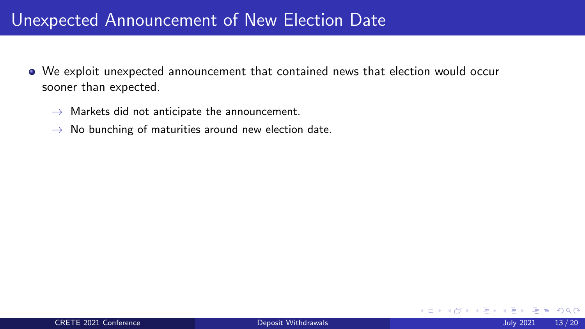#### Unexpected Announcement of New Election Date

- We exploit unexpected announcement that contained news that election would occur sooner than expected.
	- $\rightarrow$  Markets did not anticipate the announcement.
	- $\rightarrow$  No bunching of maturities around new election date.

 $\Omega$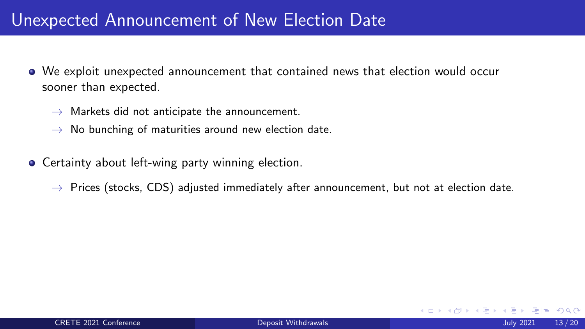#### Unexpected Announcement of New Election Date

- We exploit unexpected announcement that contained news that election would occur sooner than expected.
	- $\rightarrow$  Markets did not anticipate the announcement.
	- $\rightarrow$  No bunching of maturities around new election date.
- **•** Certainty about left-wing party winning election.
	- $\rightarrow$  Prices (stocks, CDS) adjusted immediately after announcement, but not at election date.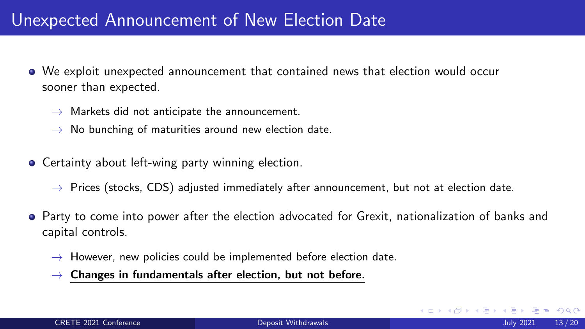#### Unexpected Announcement of New Election Date

- We exploit unexpected announcement that contained news that election would occur sooner than expected.
	- $\rightarrow$  Markets did not anticipate the announcement.
	- $\rightarrow$  No bunching of maturities around new election date.
- **•** Certainty about left-wing party winning election.
	- $\rightarrow$  Prices (stocks, CDS) adjusted immediately after announcement, but not at election date.
- Party to come into power after the election advocated for Grexit, nationalization of banks and capital controls.
	- $\rightarrow$  However, new policies could be implemented before election date.
	- $\rightarrow$  Changes in fundamentals after election, but not before.

 $\Omega$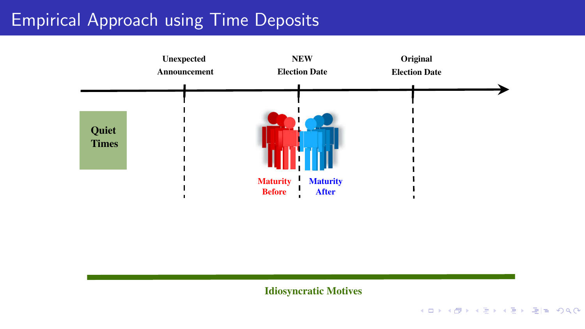

Idiosyncratic Motives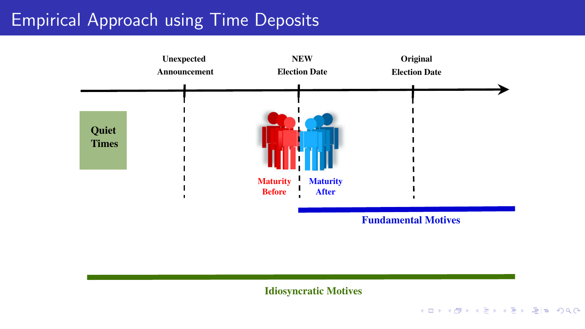

Fundamental Motives

Idiosyncratic Motives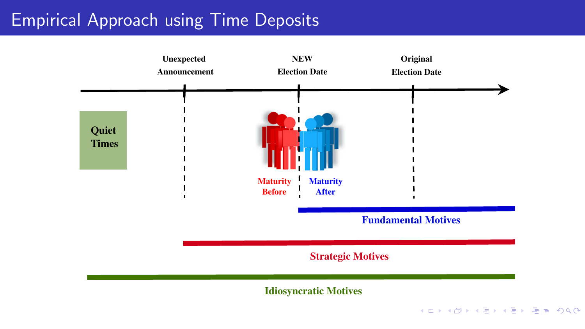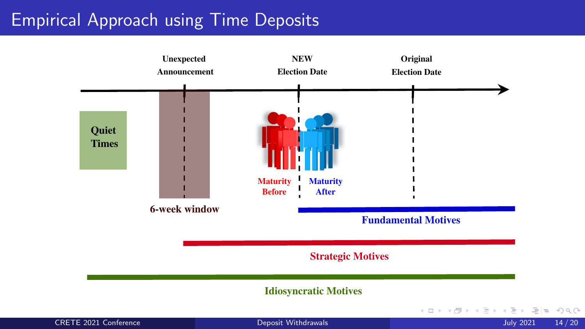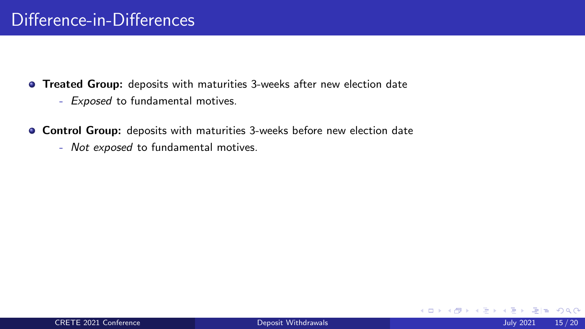- Treated Group: deposits with maturities 3-weeks after new election date
	- *Exposed* to fundamental motives.
- Control Group: deposits with maturities 3-weeks before new election date
	- *Not exposed* to fundamental motives.

4 0 F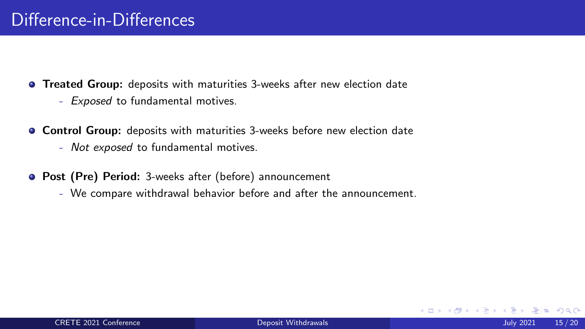- **Treated Group:** deposits with maturities 3-weeks after new election date
	- *Exposed* to fundamental motives.
- Control Group: deposits with maturities 3-weeks before new election date
	- *Not exposed* to fundamental motives.
- Post (Pre) Period: 3-weeks after (before) announcement
	- We compare withdrawal behavior before and after the announcement.

 $\Omega$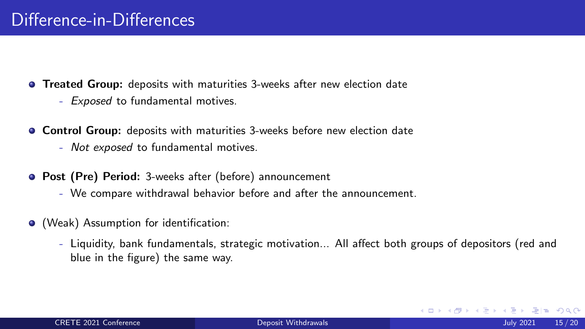- **Treated Group:** deposits with maturities 3-weeks after new election date
	- *Exposed* to fundamental motives.
- Control Group: deposits with maturities 3-weeks before new election date
	- *Not exposed* to fundamental motives.
- Post (Pre) Period: 3-weeks after (before) announcement
	- We compare withdrawal behavior before and after the announcement.
- (Weak) Assumption for identification:
	- Liquidity, bank fundamentals, strategic motivation... All affect both groups of depositors (red and blue in the figure) the same way.

 $\Omega$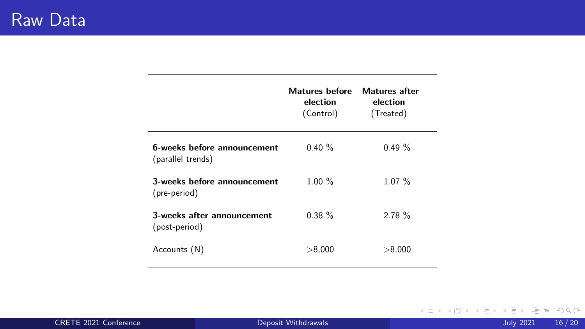|                                                  | Matures hefore<br>election<br>(Control) | Matures after<br>election<br>(Treated) |
|--------------------------------------------------|-----------------------------------------|----------------------------------------|
| 6-weeks before announcement<br>(parallel trends) | 0.40%                                   | 0.49%                                  |
| 3-weeks before announcement<br>(pre-period)      | 1.00%                                   | 1.07%                                  |
| 3-weeks after announcement<br>(post-period)      | 0.38%                                   | 2.78%                                  |
| Accounts (N)                                     | > 8,000                                 | > 8,000                                |

CRETE 2021 Conference [Deposit Withdrawals](#page-0-0) July 2021 16 / 20

K ロ X K 御 X K 君 X K 君 X 〈君 X 〈君〉 ① 9.0 ◇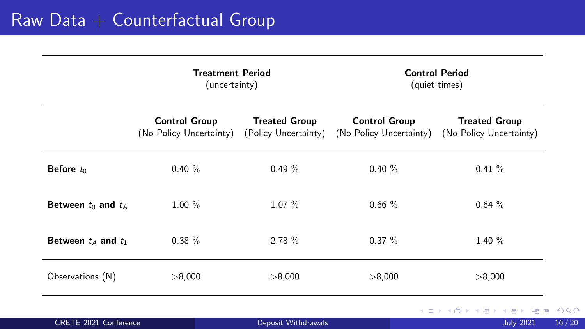|                         | <b>Treatment Period</b><br>(uncertainty)                             |                      | <b>Control Period</b><br>(quiet times)          |                                                 |
|-------------------------|----------------------------------------------------------------------|----------------------|-------------------------------------------------|-------------------------------------------------|
|                         | <b>Control Group</b><br>(No Policy Uncertainty) (Policy Uncertainty) | <b>Treated Group</b> | <b>Control Group</b><br>(No Policy Uncertainty) | <b>Treated Group</b><br>(No Policy Uncertainty) |
| Before $t_0$            | 0.40%                                                                | $0.49 \%$            | $0.40 \%$                                       | $0.41 \%$                                       |
| Between $t_0$ and $t_A$ | $1.00\%$                                                             | $1.07\%$             | 0.66%                                           | 0.64%                                           |
| Between $t_A$ and $t_1$ | $0.38 \%$                                                            | 2.78%                | $0.37 \%$                                       | 1.40%                                           |
| Observations (N)        | > 8,000                                                              | > 8,000              | > 8,000                                         | > 8,000                                         |
|                         |                                                                      |                      |                                                 | K ロ ▶ K 優 ▶ K 경 ▶ K 경 ▶ (평)                     |

|  | <b>CRETE 2021 Conference</b> |
|--|------------------------------|
|  |                              |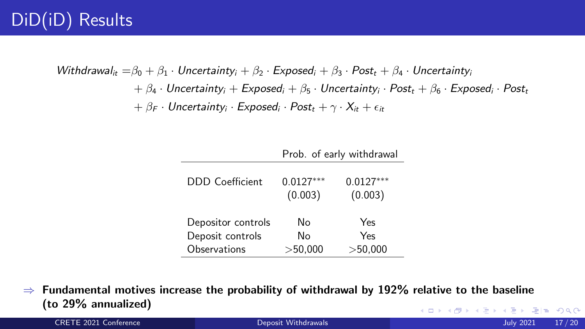# DiD(iD) Results

*Withdrawal<sub>it</sub>* =  $\beta_0 + \beta_1 \cdot$  *Uncertainty*<sub>*i*</sub> +  $\beta_2 \cdot$  *Exposed<sub>i</sub>* +  $\beta_3 \cdot$  *Post<sub>t</sub>* +  $\beta_4 \cdot$  *Uncertaintyi*  $+ \beta_4 \cdot$  Uncertainty<sub>i</sub> +  $\epsilon$ xposed<sub>*i*</sub> +  $\beta_5 \cdot$  Uncertainty<sub>i</sub> ·  $\epsilon$ Post<sub>t</sub> +  $\beta_6 \cdot$  Exposed<sub>i</sub> · Post<sub>t</sub>  $+ \beta_F \cdot$  *Uncertainty*<sup>*i*</sup> · *Exposed*<sup>*i*</sup> · *Post<sub>t</sub>* +  $\gamma \cdot X_i$  +  $\epsilon_i$ 

|                    | Prob. of early withdrawal |                        |  |
|--------------------|---------------------------|------------------------|--|
| DDD Coefficient    | $0.0127***$<br>(0.003)    | $0.0127***$<br>(0.003) |  |
| Depositor controls | N٥                        | Yes                    |  |
| Deposit controls   | No                        | Yes                    |  |
| Observations       | >50.000                   | >50,000                |  |

 $\Rightarrow$  Fundamental motives increase the probability of withdrawal by 192% relative to the baseline (to 29% annualized) → 伊 ▶ → ヨ ▶ → ヨ ▶ - ヨ!ヨ めんぺ

CRETE 2021 Conference [Deposit Withdrawals](#page-0-0) July 2021 17 / 20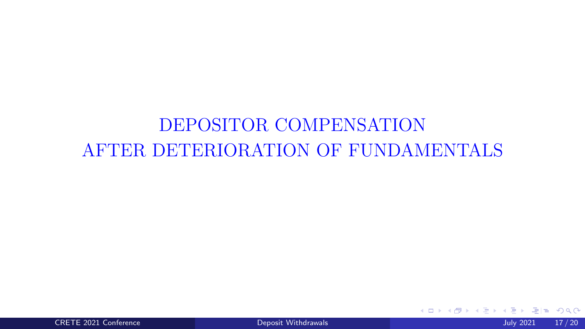# DEPOSITOR COMPENSATION AFTER DETERIORATION OF FUNDAMENTALS

4 0 F ∢● - 41 (B)  $\blacktriangleright$   $\blacktriangleleft$ ÷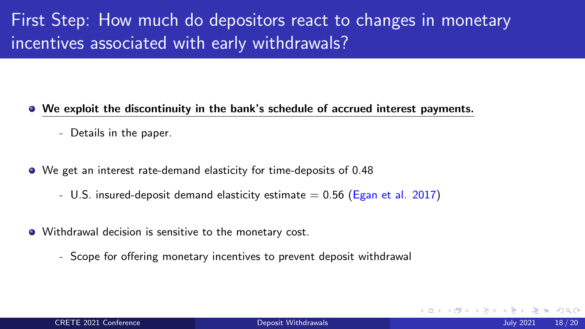# First Step: How much do depositors react to changes in monetary incentives associated with early withdrawals?

- We exploit the discontinuity in the bank's schedule of accrued interest payments.
	- Details in the paper.
- We get an interest rate-demand elasticity for time-deposits of 0.48
	- U.S. insured-deposit demand elasticity estimate  $= 0.56$  (Egan et al. 2017)
- Withdrawal decision is sensitive to the monetary cost.
	- Scope for offering monetary incentives to prevent deposit withdrawal

 $\Omega$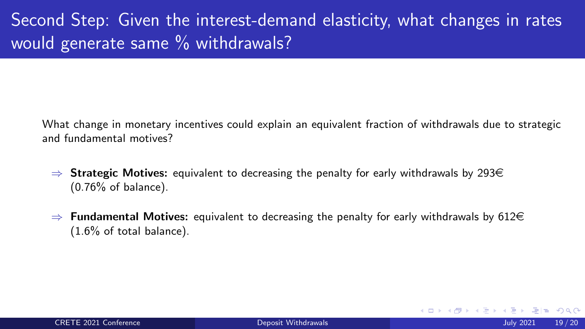# Second Step: Given the interest-demand elasticity, what changes in rates would generate same % withdrawals?

What change in monetary incentives could explain an equivalent fraction of withdrawals due to strategic and fundamental motives?

- $\Rightarrow$  Strategic Motives: equivalent to decreasing the penalty for early withdrawals by 293 $\in$ (0.76% of balance).
- $\Rightarrow$  Fundamental Motives: equivalent to decreasing the penalty for early withdrawals by 612 $\in$ (1.6% of total balance).

医毛囊 医牙骨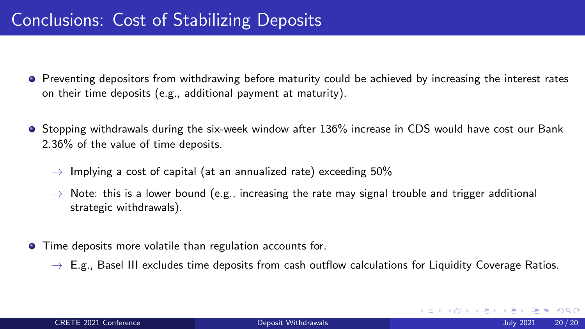- Preventing depositors from withdrawing before maturity could be achieved by increasing the interest rates on their time deposits (e.g., additional payment at maturity).
- **•** Stopping withdrawals during the six-week window after 136% increase in CDS would have cost our Bank 2.36% of the value of time deposits.
	- $\rightarrow$  Implying a cost of capital (at an annualized rate) exceeding 50%
	- $\rightarrow$  Note: this is a lower bound (e.g., increasing the rate may signal trouble and trigger additional strategic withdrawals).
- **•** Time deposits more volatile than regulation accounts for.
	- $\rightarrow$  E.g., Basel III excludes time deposits from cash outflow calculations for Liquidity Coverage Ratios.

K ロ ▶ K 倒 ▶ K ヨ ▶ K ヨ ▶ [로] = 19 Q Q